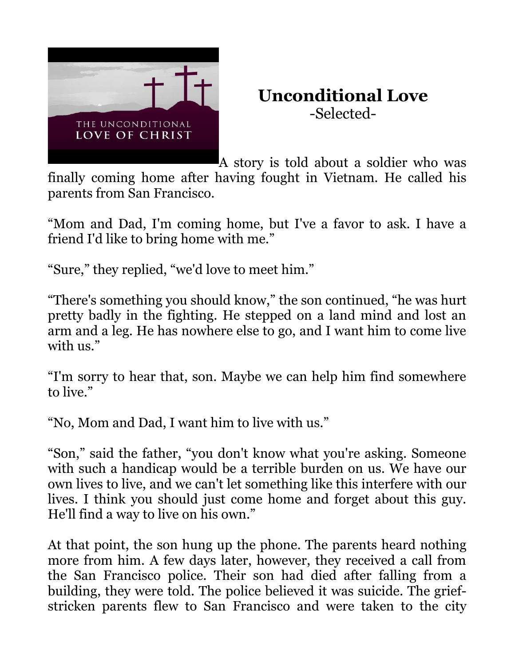

## **Unconditional Love** -Selected-

A story is told about a soldier who was finally coming home after having fought in Vietnam. He called his parents from San Francisco.

"Mom and Dad, I'm coming home, but I've a favor to ask. I have a friend I'd like to bring home with me."

"Sure," they replied, "we'd love to meet him."

"There's something you should know," the son continued, "he was hurt pretty badly in the fighting. He stepped on a land mind and lost an arm and a leg. He has nowhere else to go, and I want him to come live with us."

"I'm sorry to hear that, son. Maybe we can help him find somewhere to live."

"No, Mom and Dad, I want him to live with us."

"Son," said the father, "you don't know what you're asking. Someone with such a handicap would be a terrible burden on us. We have our own lives to live, and we can't let something like this interfere with our lives. I think you should just come home and forget about this guy. He'll find a way to live on his own."

At that point, the son hung up the phone. The parents heard nothing more from him. A few days later, however, they received a call from the San Francisco police. Their son had died after falling from a building, they were told. The police believed it was suicide. The griefstricken parents flew to San Francisco and were taken to the city